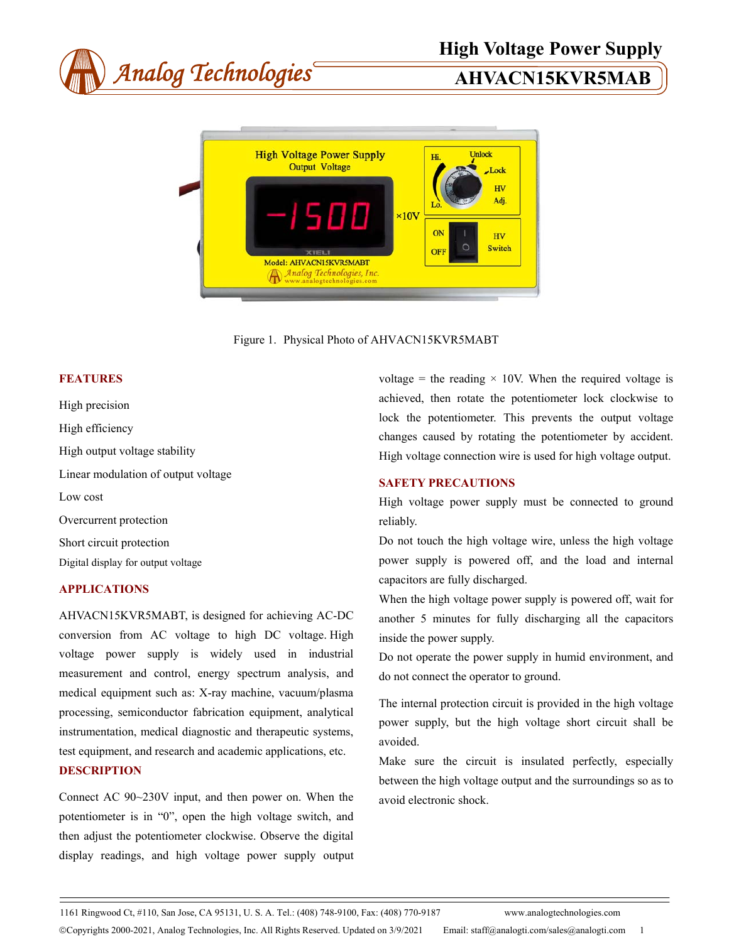



Figure 1. Physical Photo of AHVACN15KVR5MABT

### **FEATURES**

High precision High efficiency High output voltage stability Linear modulation of output voltage Low cost Overcurrent protection Short circuit protection Digital display for output voltage

# **APPLICATIONS**

AHVACN15KVR5MABT, is designed for achieving AC-DC conversion from AC voltage to high DC voltage. High voltage power supply is widely used in industrial measurement and control, energy spectrum analysis, and medical equipment such as: X-ray machine, vacuum/plasma processing, semiconductor fabrication equipment, analytical instrumentation, medical diagnostic and therapeutic systems, test equipment, and research and academic applications, etc.

# **DESCRIPTION**

Connect AC 90~230V input, and then power on. When the potentiometer is in "0", open the high voltage switch, and then adjust the potentiometer clockwise. Observe the digital display readings, and high voltage power supply output

voltage = the reading  $\times$  10V. When the required voltage is achieved, then rotate the potentiometer lock clockwise to lock the potentiometer. This prevents the output voltage changes caused by rotating the potentiometer by accident. High voltage connection wire is used for high voltage output.

### **SAFETY PRECAUTIONS**

High voltage power supply must be connected to ground reliably.

Do not touch the high voltage wire, unless the high voltage power supply is powered off, and the load and internal capacitors are fully discharged.

When the high voltage power supply is powered off, wait for another 5 minutes for fully discharging all the capacitors inside the power supply.

Do not operate the power supply in humid environment, and do not connect the operator to ground.

The internal protection circuit is provided in the high voltage power supply, but the high voltage short circuit shall be avoided.

Make sure the circuit is insulated perfectly, especially between the high voltage output and the surroundings so as to avoid electronic shock.

1161 Ringwood Ct, #110, San Jose, CA 95131, U. S. A. Tel.: (408) 748-9100, Fax: (408) 770-9187 www.analogtechnologies.com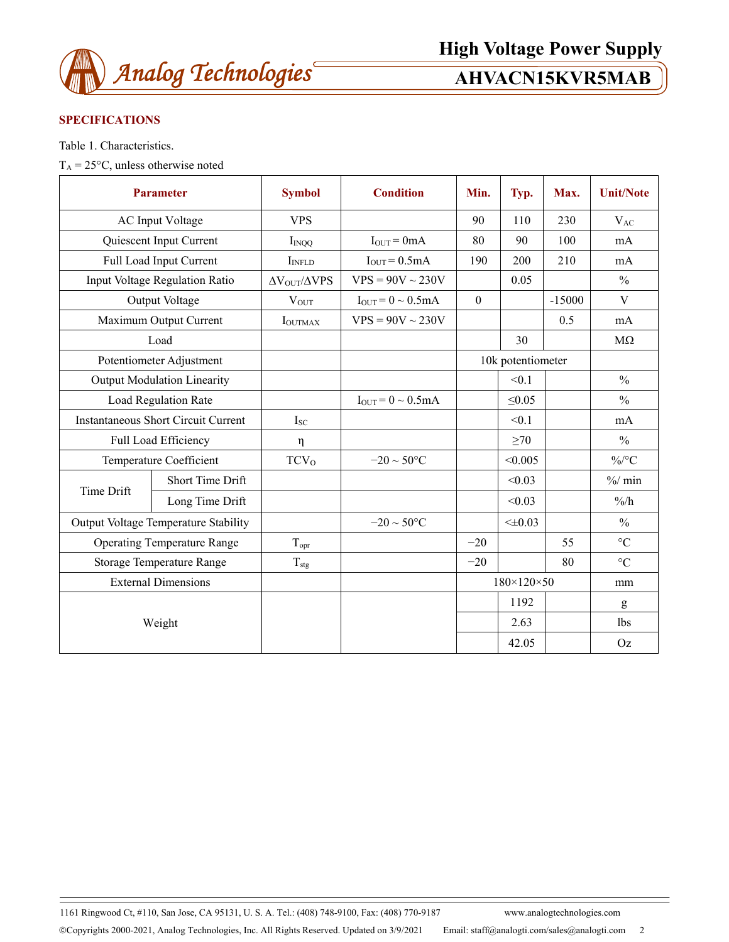

# **SPECIFICATIONS**

Table 1. Characteristics.

 $T_A = 25$ °C, unless otherwise noted

| <b>Parameter</b>                            |                         | <b>Symbol</b>                   | <b>Condition</b>          | Min.                       | Typ.         | Max.     | <b>Unit/Note</b>  |
|---------------------------------------------|-------------------------|---------------------------------|---------------------------|----------------------------|--------------|----------|-------------------|
| <b>AC</b> Input Voltage                     |                         | <b>VPS</b>                      |                           | 90                         | 110          | 230      | $V_{AC}$          |
|                                             | Quiescent Input Current | $I_{INOO}$                      | $I_{OUT} = 0mA$           | 80                         | 90           | 100      | mA                |
|                                             | Full Load Input Current | I <sub>INFLD</sub>              | $IOUT = 0.5mA$            | 190                        | 200          | 210      | mA                |
| Input Voltage Regulation Ratio              |                         | $\Delta V_{\rm OUT}/\Delta VPS$ | $VPS = 90V \sim 230V$     |                            | 0.05         |          | $\frac{0}{0}$     |
| Output Voltage                              |                         | $V_{OUT}$                       | $I_{OUT} = 0 \sim 0.5 mA$ | $\mathbf{0}$               |              | $-15000$ | V                 |
| Maximum Output Current                      |                         | <b>I</b> OUTMAX                 | $VPS = 90V \sim 230V$     |                            |              | 0.5      | mA                |
| Load                                        |                         |                                 |                           |                            | 30           |          | $M\Omega$         |
| Potentiometer Adjustment                    |                         |                                 |                           | 10k potentiometer          |              |          |                   |
| <b>Output Modulation Linearity</b>          |                         |                                 |                           |                            | < 0.1        |          | $\frac{0}{0}$     |
| <b>Load Regulation Rate</b>                 |                         |                                 | $I_{OUT} = 0 \sim 0.5 mA$ |                            | $\leq 0.05$  |          | $\frac{0}{0}$     |
| <b>Instantaneous Short Circuit Current</b>  |                         | $I_{SC}$                        |                           |                            | < 0.1        |          | mA                |
| Full Load Efficiency                        |                         | η                               |                           |                            | $\geq 70$    |          | $\frac{0}{0}$     |
| Temperature Coefficient                     |                         | TCV <sub>O</sub>                | $-20 \sim 50^{\circ}$ C   |                            | < 0.005      |          | $\%$ /°C          |
| Time Drift                                  | <b>Short Time Drift</b> |                                 |                           |                            | < 0.03       |          | $\frac{9}{6}$ min |
|                                             | Long Time Drift         |                                 |                           |                            | < 0.03       |          | $\frac{9}{6}$     |
| <b>Output Voltage Temperature Stability</b> |                         |                                 | $-20 \sim 50^{\circ}$ C   |                            | $< \pm 0.03$ |          | $\frac{0}{0}$     |
| <b>Operating Temperature Range</b>          |                         | $T_{\rm{opr}}$                  |                           | $-20$                      |              | 55       | $\rm ^{\circ}C$   |
| Storage Temperature Range                   |                         | $T_{\rm stg}$                   |                           | $-20$                      |              | 80       | $\rm ^{\circ}C$   |
| <b>External Dimensions</b>                  |                         |                                 |                           | $180 \times 120 \times 50$ |              | mm       |                   |
| Weight                                      |                         |                                 |                           |                            | 1192         |          | g                 |
|                                             |                         |                                 |                           |                            | 2.63         |          | 1bs               |
|                                             |                         |                                 |                           |                            | 42.05        |          | Oz                |

1161 Ringwood Ct, #110, San Jose, CA 95131, U. S. A. Tel.: (408) 748-9100, Fax: (408) 770-9187 www.analogtechnologies.com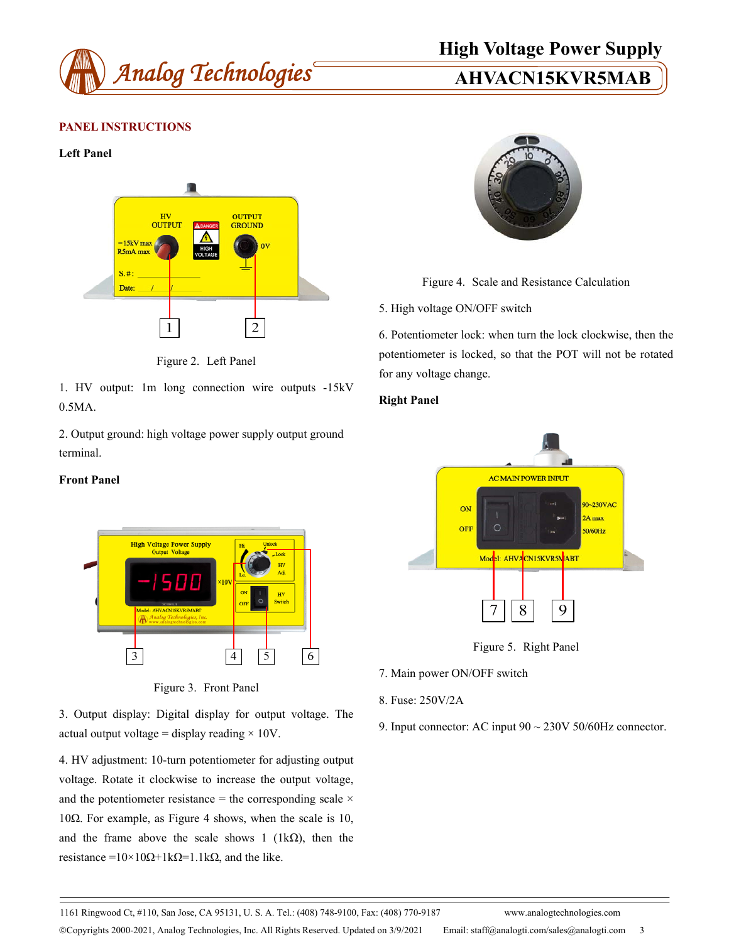

# **High Voltage Power Supply**

# **PANEL INSTRUCTIONS**

#### **Left Panel**



Figure 2. Left Panel

1. HV output: 1m long connection wire outputs -15kV 0.5MA.

2. Output ground: high voltage power supply output ground terminal.

#### **Front Panel**



Figure 3. Front Panel

3. Output display: Digital display for output voltage. The actual output voltage = display reading  $\times$  10V.

4. HV adjustment: 10-turn potentiometer for adjusting output voltage. Rotate it clockwise to increase the output voltage, and the potentiometer resistance = the corresponding scale  $\times$ 10Ω. For example, as Figure 4 shows, when the scale is 10, and the frame above the scale shows 1 ( $1k\Omega$ ), then the resistance =10×10Ω+1kΩ=1.1kΩ, and the like.



Figure 4. Scale and Resistance Calculation

5. High voltage ON/OFF switch

6. Potentiometer lock: when turn the lock clockwise, then the potentiometer is locked, so that the POT will not be rotated for any voltage change.

### **Right Panel**



Figure 5. Right Panel

- 7. Main power ON/OFF switch
- 8. Fuse: 250V/2A
- 9. Input connector: AC input 90 ~ 230V 50/60Hz connector.

1161 Ringwood Ct, #110, San Jose, CA 95131, U. S. A. Tel.: (408) 748-9100, Fax: (408) 770-9187 www.analogtechnologies.com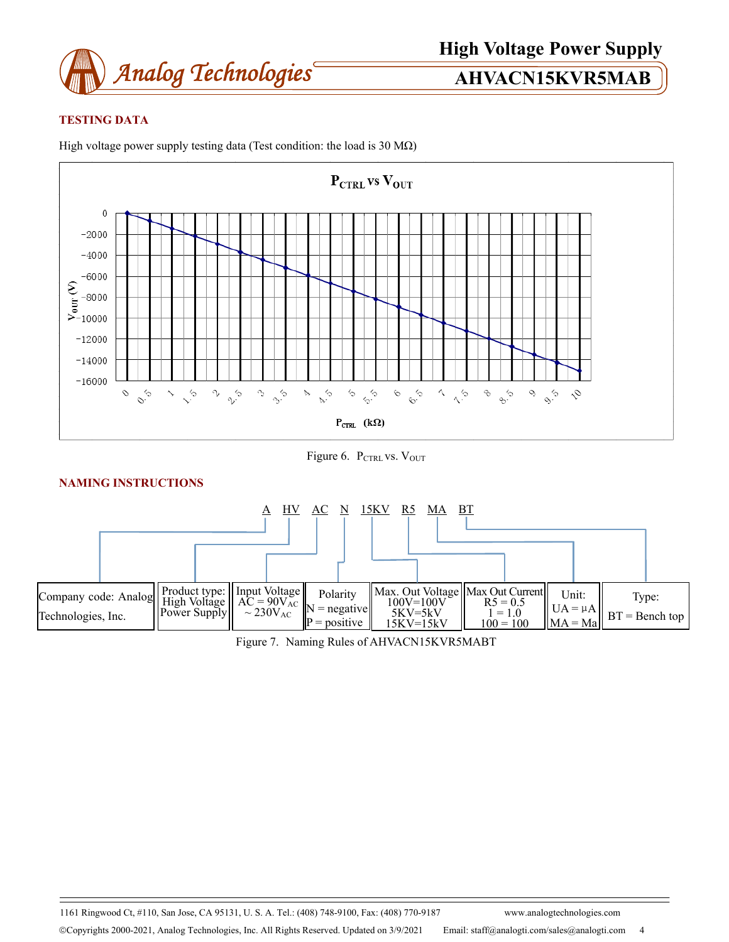

# **TESTING DATA**







# **NAMING INSTRUCTIONS**



Figure 7. Naming Rules of AHVACN15KVR5MABT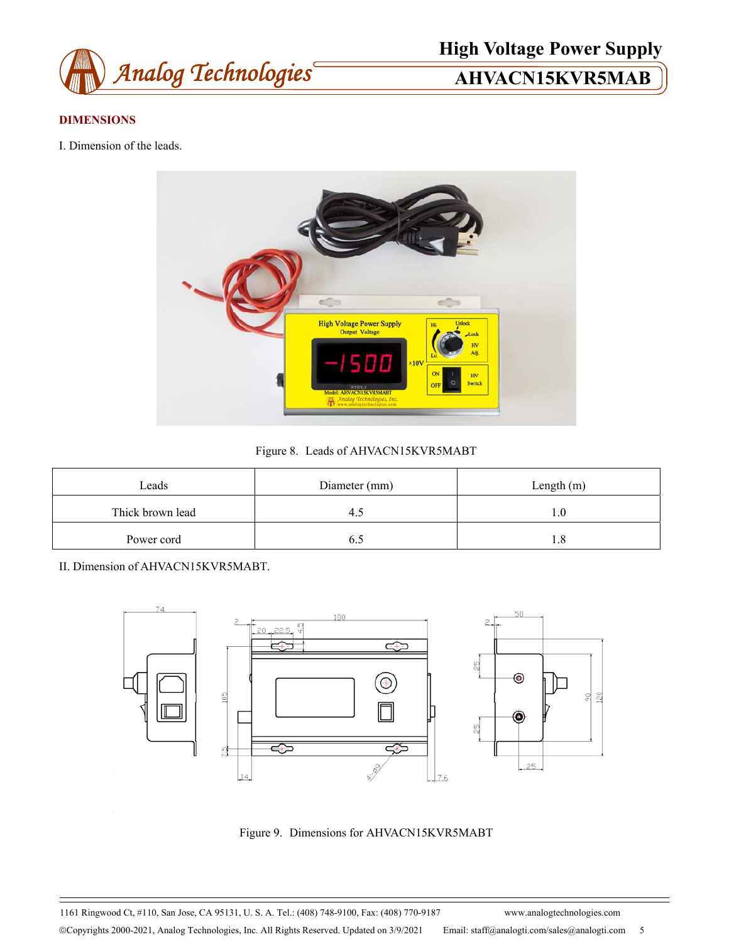

**High Voltage Power Supply** 

# **DIMENSIONS**

I. Dimension of the leads.



Figure 8. Leads of AHVACN15KVR5MABT

| Leads            | Diameter (mm) | Length $(m)$ |  |  |
|------------------|---------------|--------------|--|--|
| Thick brown lead |               |              |  |  |
| Power cord       |               |              |  |  |

II. Dimension of AHVACN15KVR5MABT.